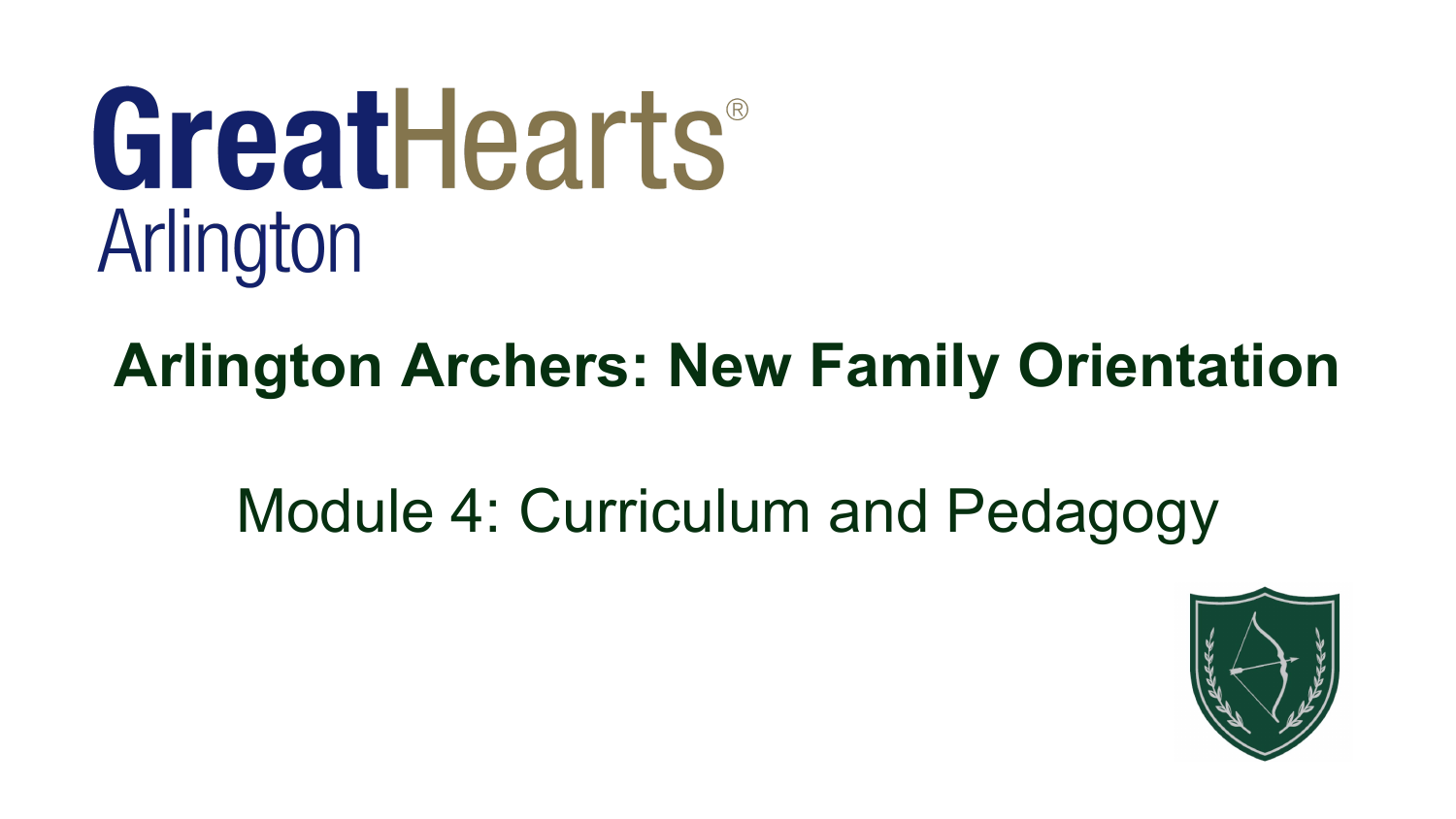# GreatHearts® Arlington

# **Arlington Archers: New Family Orientation**

# Module 4: Curriculum and Pedagogy

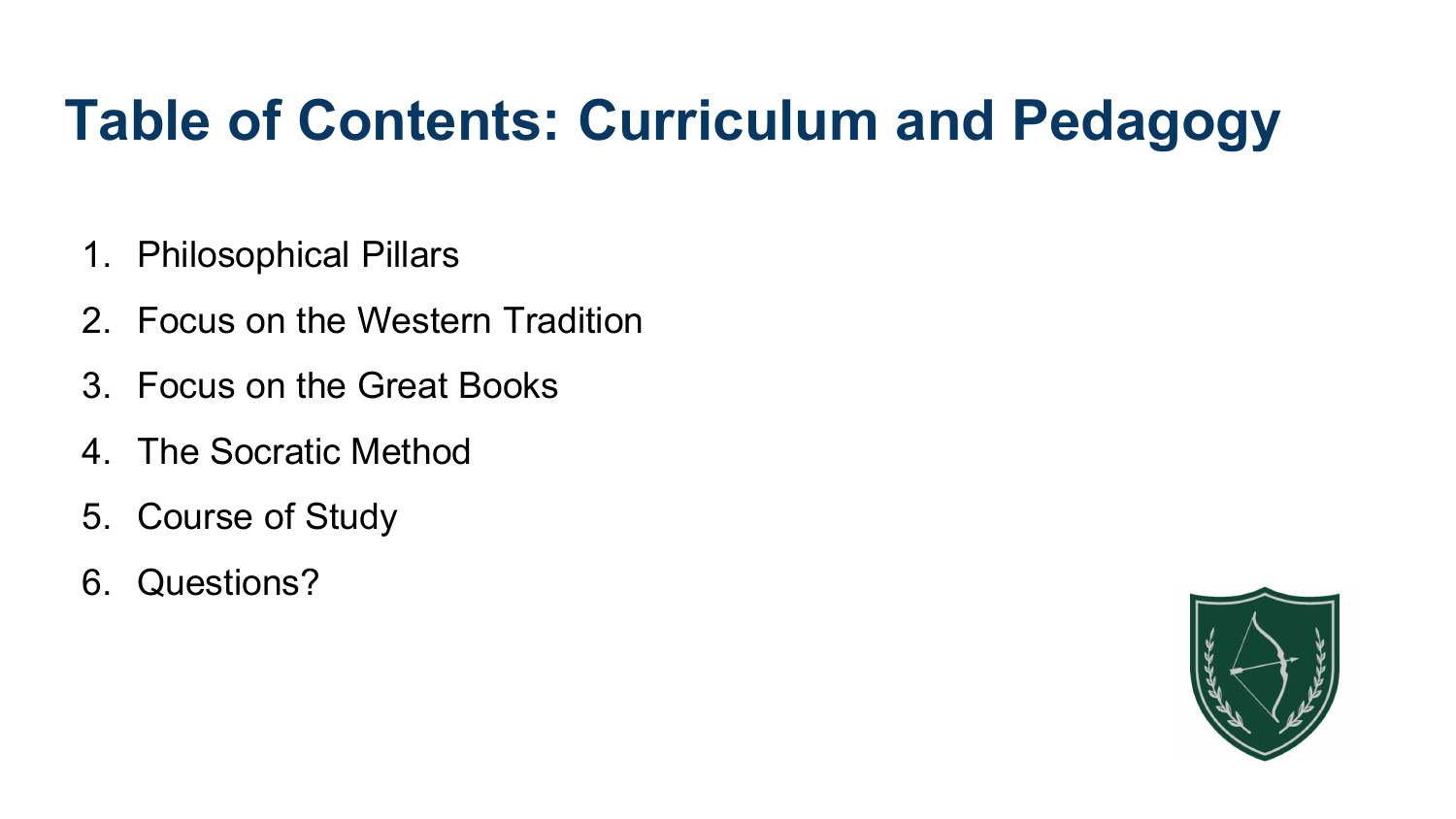# **Table of Contents: Curriculum and Pedagogy**

- 1. Philosophical Pillars
- 2. Focus on the Western Tradition
- 3. Focus on the Great Books
- 4. The Socratic Method
- 5. Course of Study
- 6. Questions?

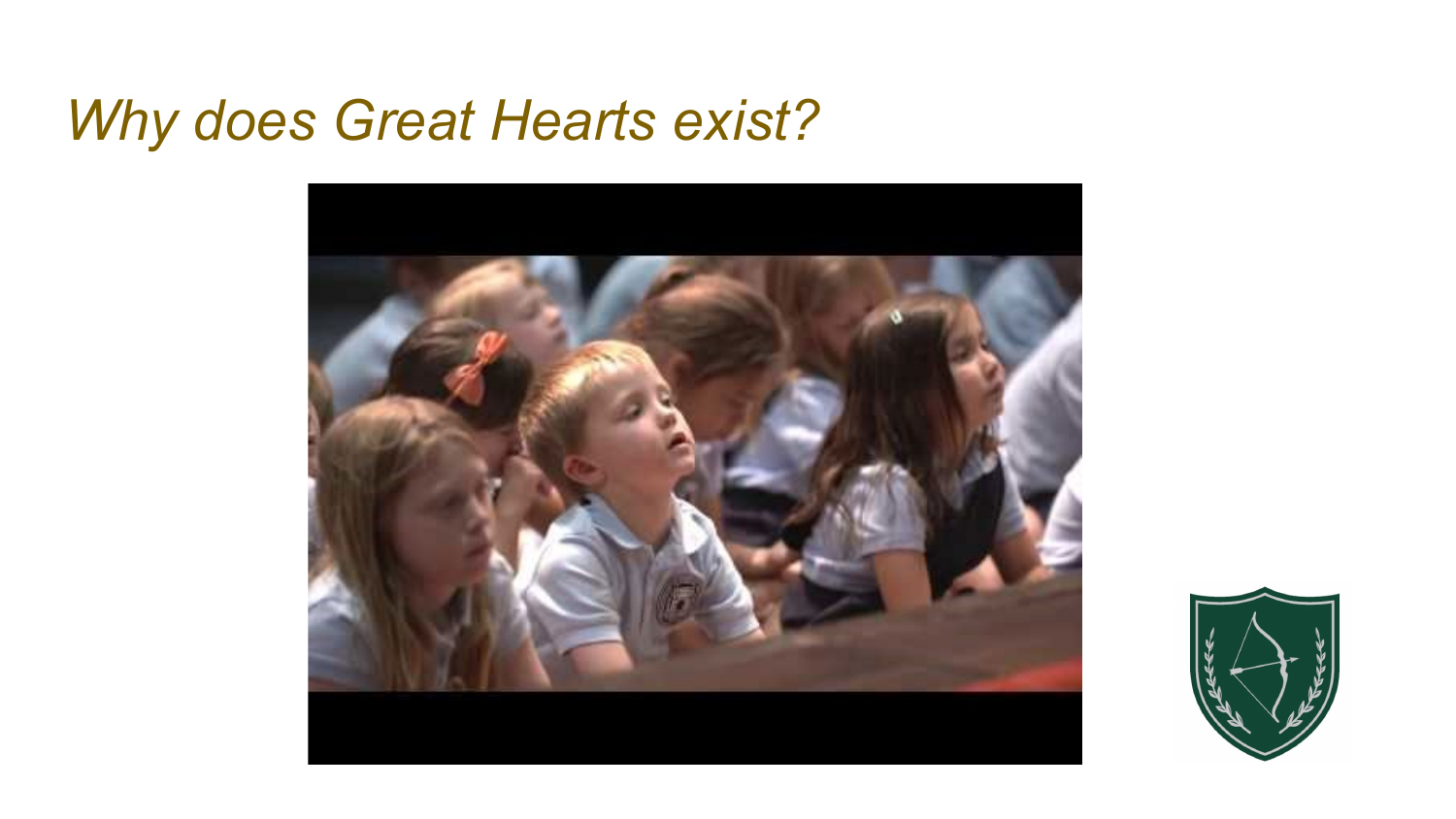#### *Why does Great Hearts exist?*



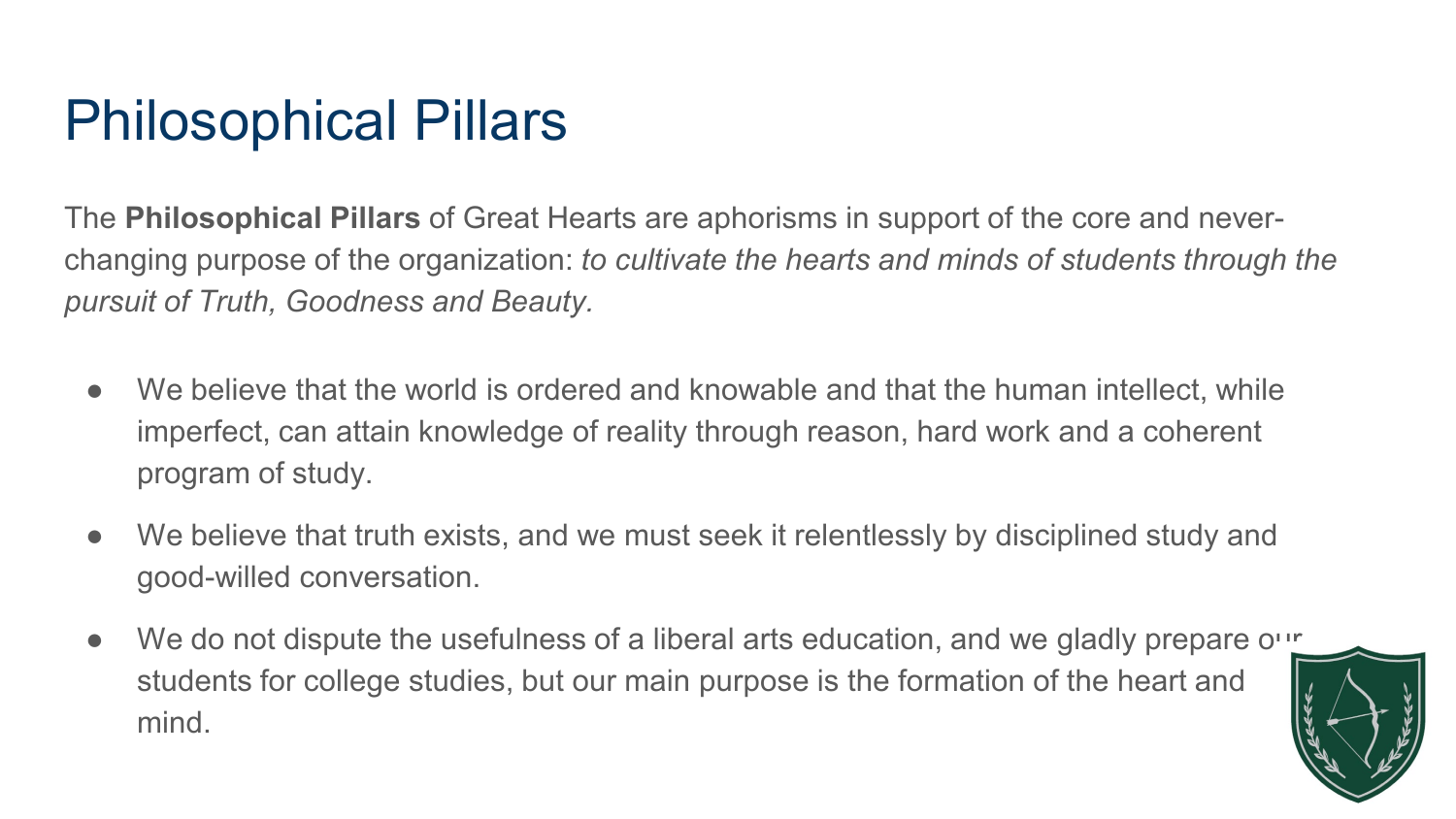# Philosophical Pillars

The **Philosophical Pillars** of Great Hearts are aphorisms in support of the core and neverchanging purpose of the organization: *to cultivate the hearts and minds of students through the pursuit of Truth, Goodness and Beauty.*

- We believe that the world is ordered and knowable and that the human intellect, while imperfect, can attain knowledge of reality through reason, hard work and a coherent program of study.
- We believe that truth exists, and we must seek it relentlessly by disciplined study and good-willed conversation.
- We do not dispute the usefulness of a liberal arts education, and we gladly prepare our students for college studies, but our main purpose is the formation of the heart and mind.

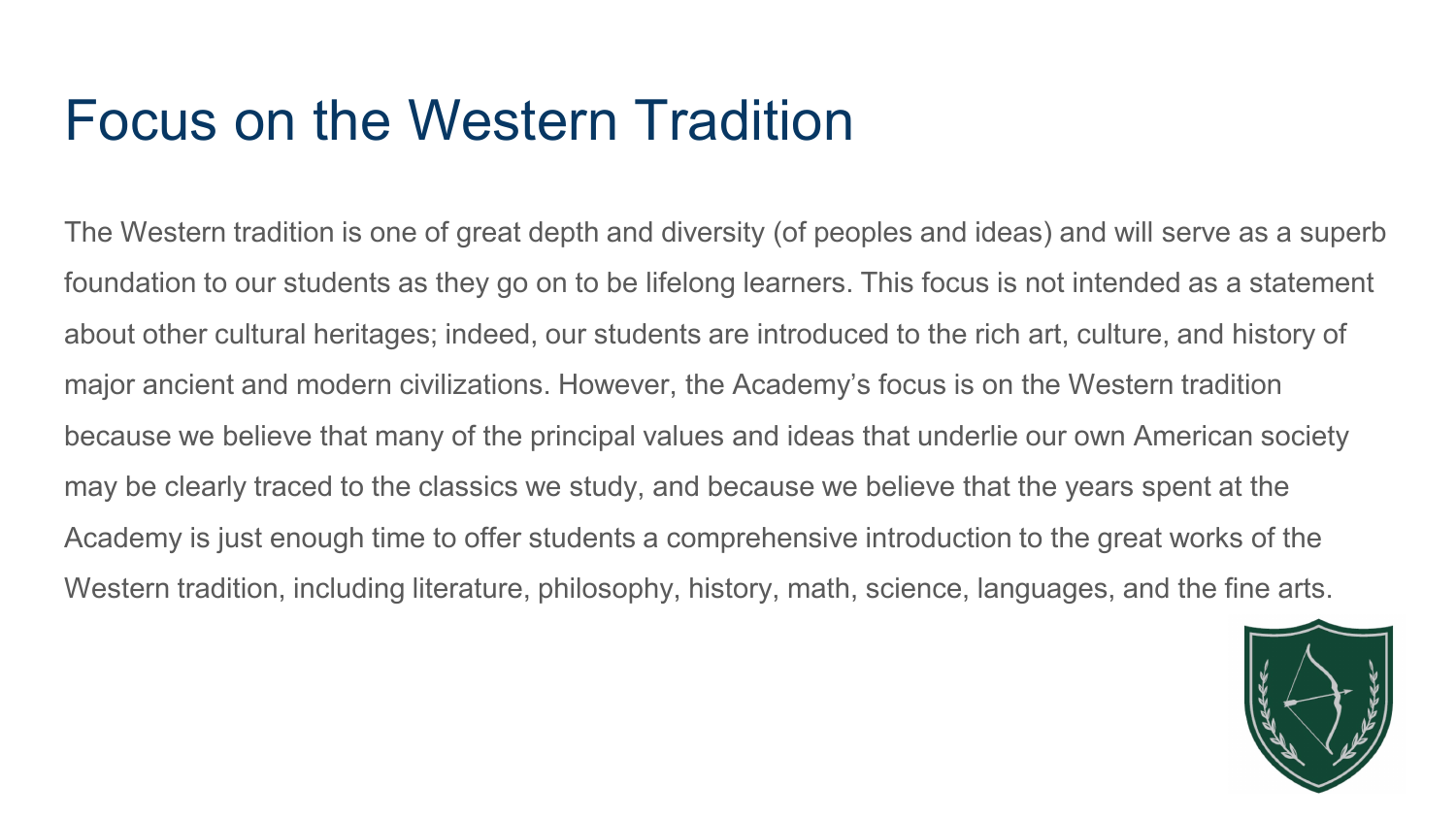#### Focus on the Western Tradition

The Western tradition is one of great depth and diversity (of peoples and ideas) and will serve as a superb foundation to our students as they go on to be lifelong learners. This focus is not intended as a statement about other cultural heritages; indeed, our students are introduced to the rich art, culture, and history of major ancient and modern civilizations. However, the Academy's focus is on the Western tradition because we believe that many of the principal values and ideas that underlie our own American society may be clearly traced to the classics we study, and because we believe that the years spent at the Academy is just enough time to offer students a comprehensive introduction to the great works of the Western tradition, including literature, philosophy, history, math, science, languages, and the fine arts.

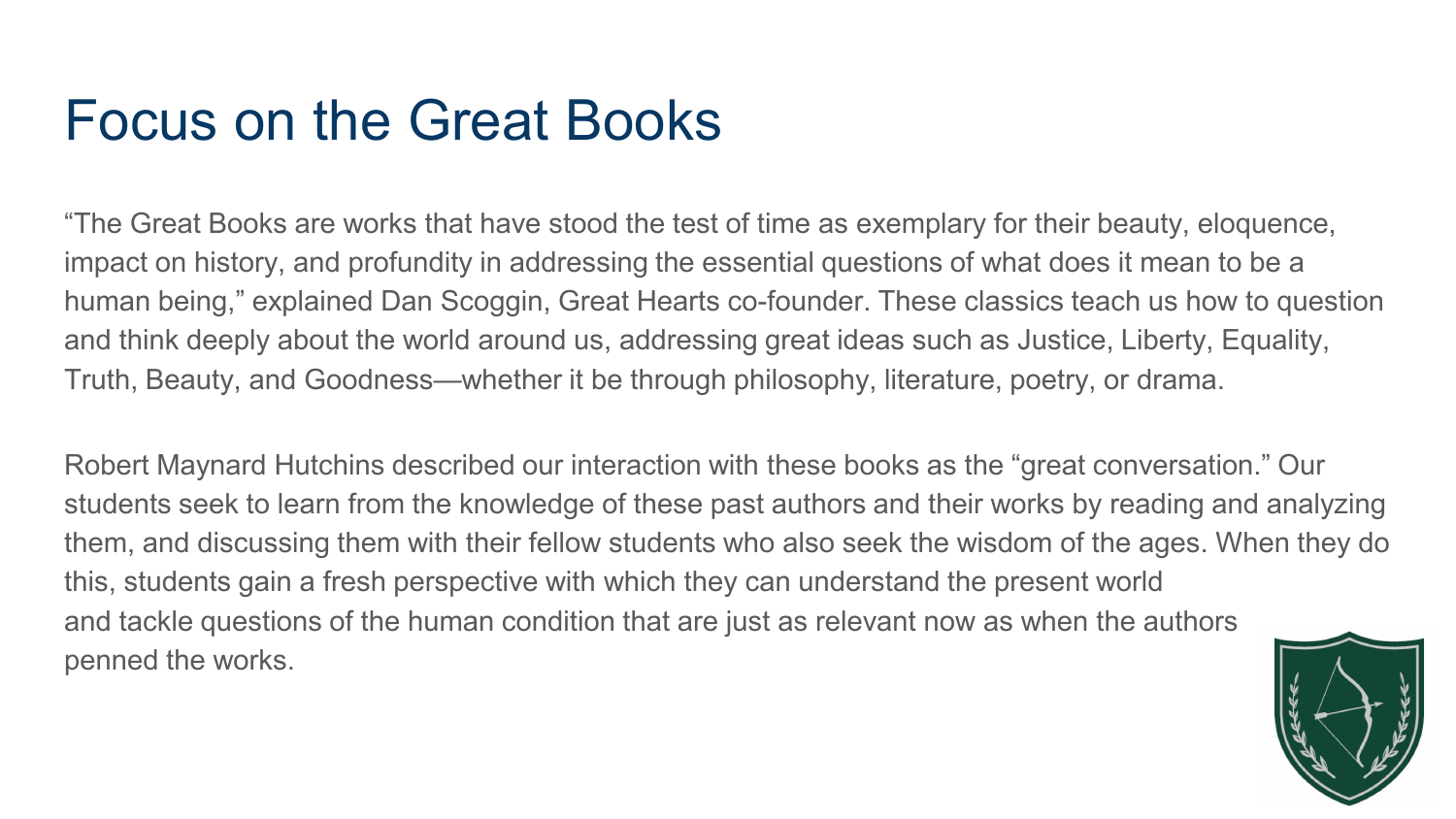#### Focus on the Great Books

"The Great Books are works that have stood the test of time as exemplary for their beauty, eloquence, impact on history, and profundity in addressing the essential questions of what does it mean to be a human being," explained Dan Scoggin, Great Hearts co-founder. These classics teach us how to question and think deeply about the world around us, addressing great ideas such as Justice, Liberty, Equality, Truth, Beauty, and Goodness—whether it be through philosophy, literature, poetry, or drama.

Robert Maynard Hutchins described our interaction with these books as the "great conversation." Our students seek to learn from the knowledge of these past authors and their works by reading and analyzing them, and discussing them with their fellow students who also seek the wisdom of the ages. When they do this, students gain a fresh perspective with which they can understand the present world and tackle questions of the human condition that are just as relevant now as when the authors penned the works.

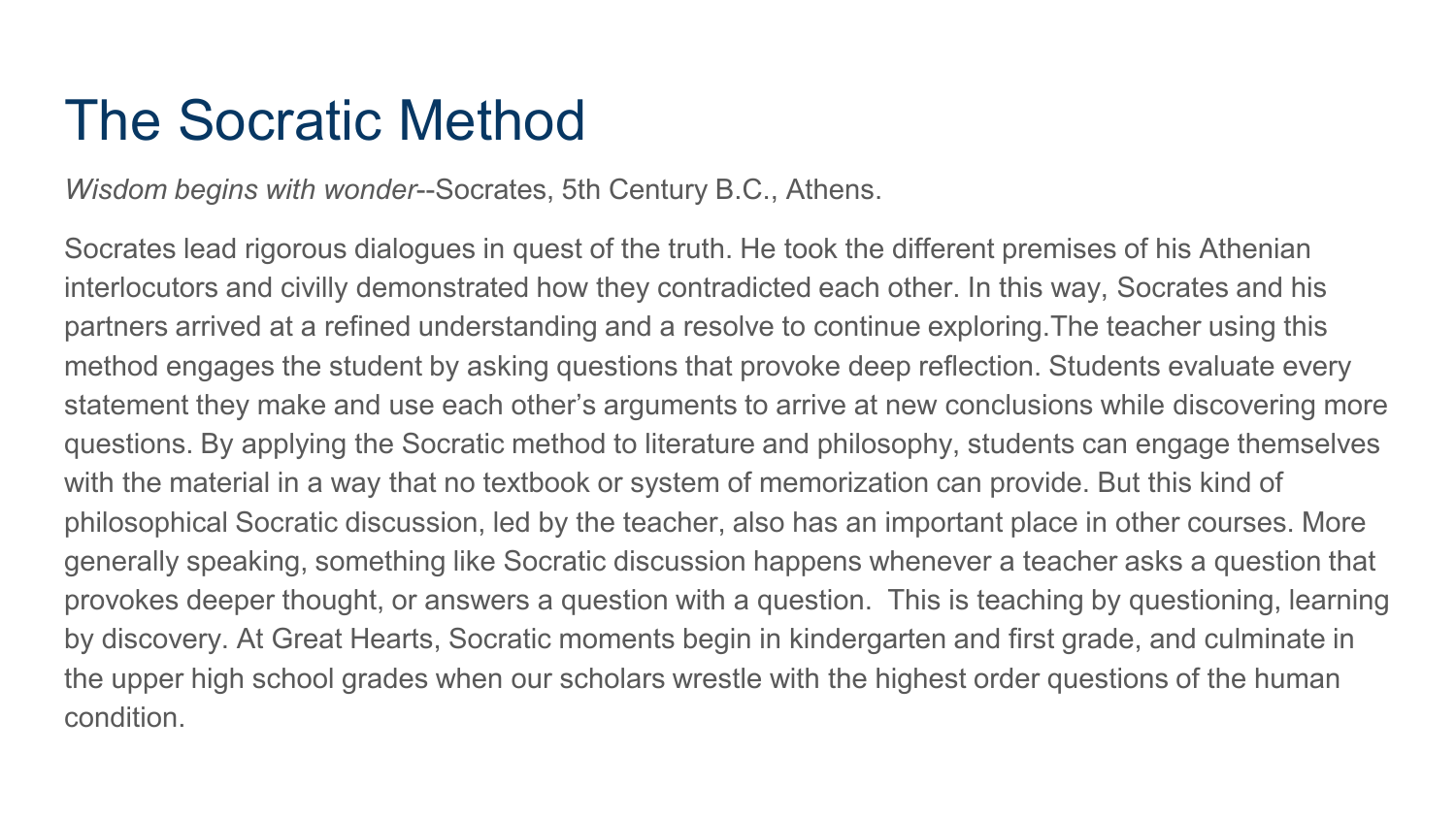#### The Socratic Method

*Wisdom begins with wonder*--Socrates, 5th Century B.C., Athens.

Socrates lead rigorous dialogues in quest of the truth. He took the different premises of his Athenian interlocutors and civilly demonstrated how they contradicted each other. In this way, Socrates and his partners arrived at a refined understanding and a resolve to continue exploring.The teacher using this method engages the student by asking questions that provoke deep reflection. Students evaluate every statement they make and use each other's arguments to arrive at new conclusions while discovering more questions. By applying the Socratic method to literature and philosophy, students can engage themselves with the material in a way that no textbook or system of memorization can provide. But this kind of philosophical Socratic discussion, led by the teacher, also has an important place in other courses. More generally speaking, something like Socratic discussion happens whenever a teacher asks a question that provokes deeper thought, or answers a question with a question. This is teaching by questioning, learning by discovery. At Great Hearts, Socratic moments begin in kindergarten and first grade, and culminate in the upper high school grades when our scholars wrestle with the highest order questions of the human condition.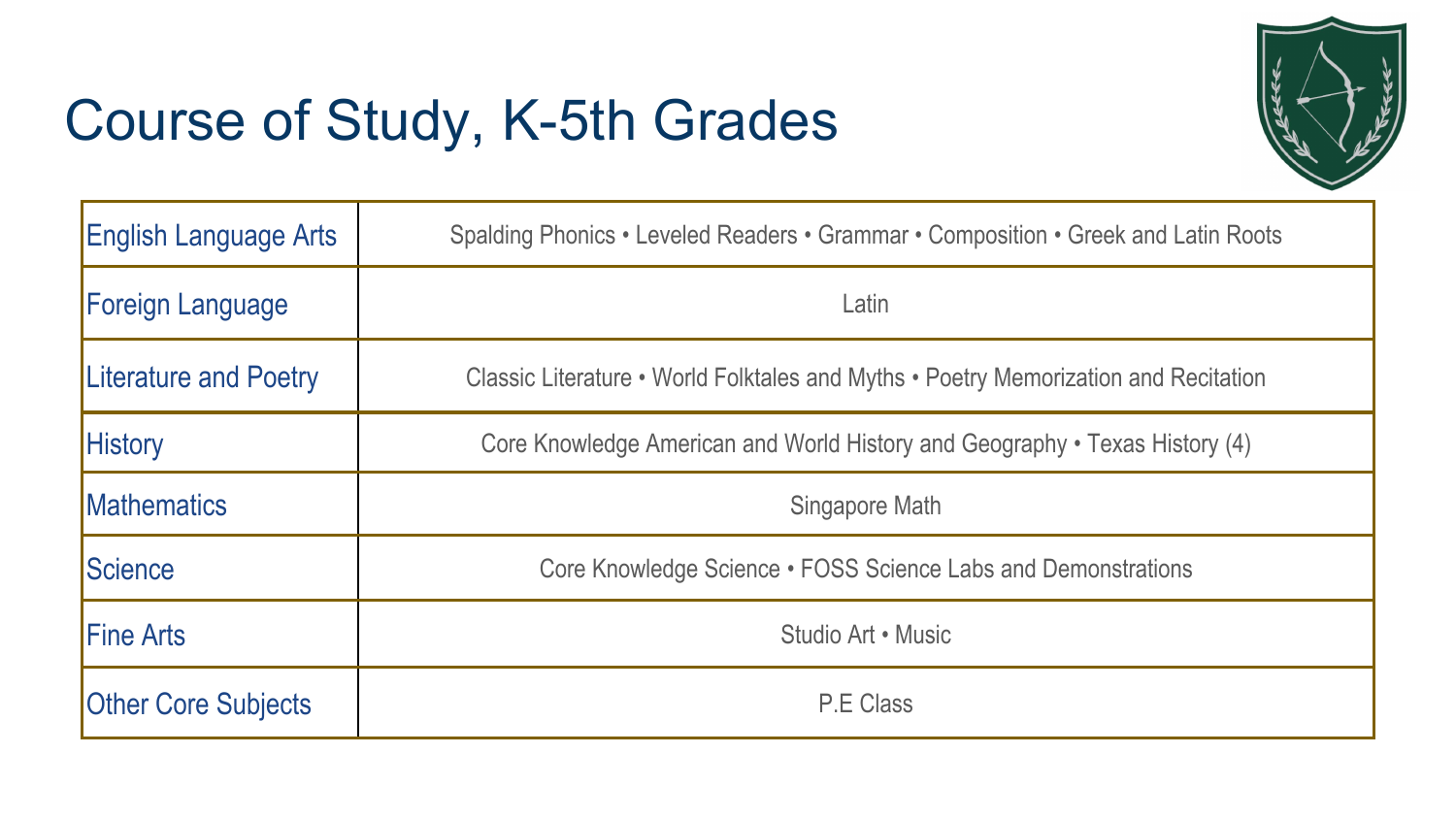# Course of Study, K-5th Grades



| <b>English Language Arts</b> | Spalding Phonics • Leveled Readers • Grammar • Composition • Greek and Latin Roots  |
|------------------------------|-------------------------------------------------------------------------------------|
| <b>Foreign Language</b>      | Latin                                                                               |
| Literature and Poetry        | Classic Literature • World Folktales and Myths • Poetry Memorization and Recitation |
| <b>History</b>               | Core Knowledge American and World History and Geography • Texas History (4)         |
| <b>IMathematics</b>          | Singapore Math                                                                      |
| <b>Science</b>               | Core Knowledge Science • FOSS Science Labs and Demonstrations                       |
| <b>Fine Arts</b>             | Studio Art • Music                                                                  |
| <b>Other Core Subjects</b>   | P.E Class                                                                           |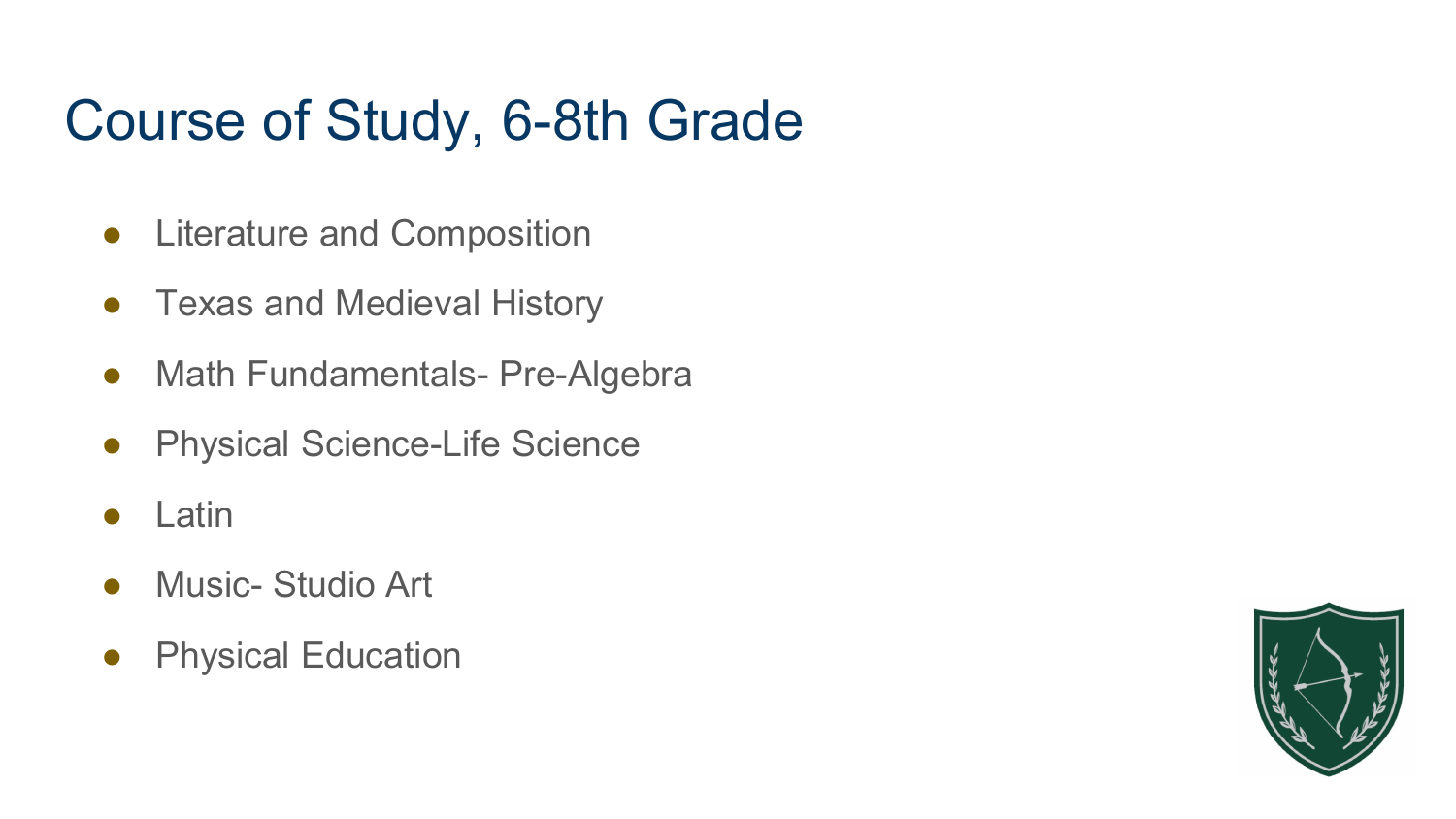# Course of Study, 6-8th Grade

- Literature and Composition
- Texas and Medieval History
- Math Fundamentals- Pre-Algebra
- Physical Science-Life Science
- Latin
- Music- Studio Art
- Physical Education

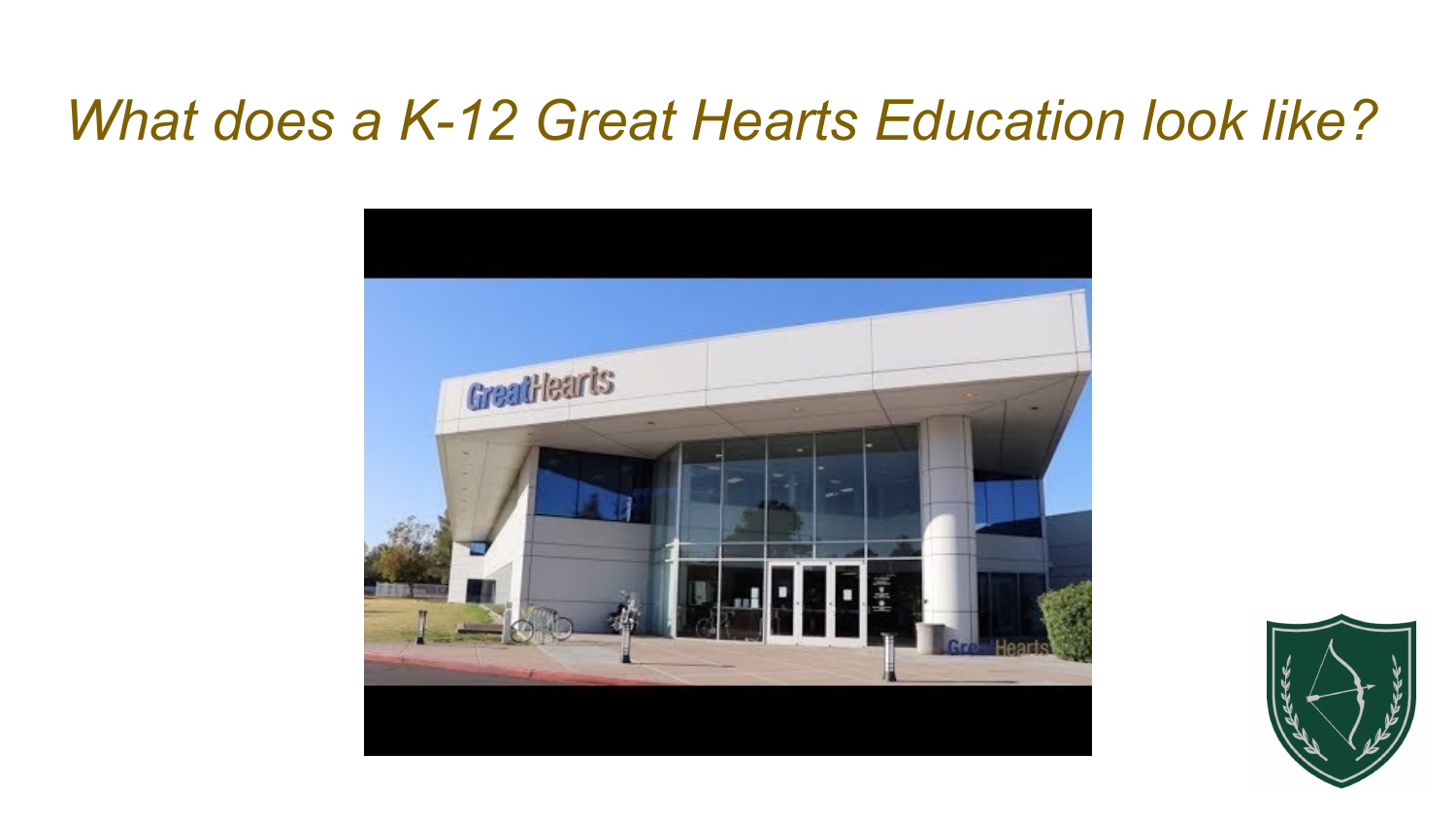#### *What does a K-12 Great Hearts Education look like?*



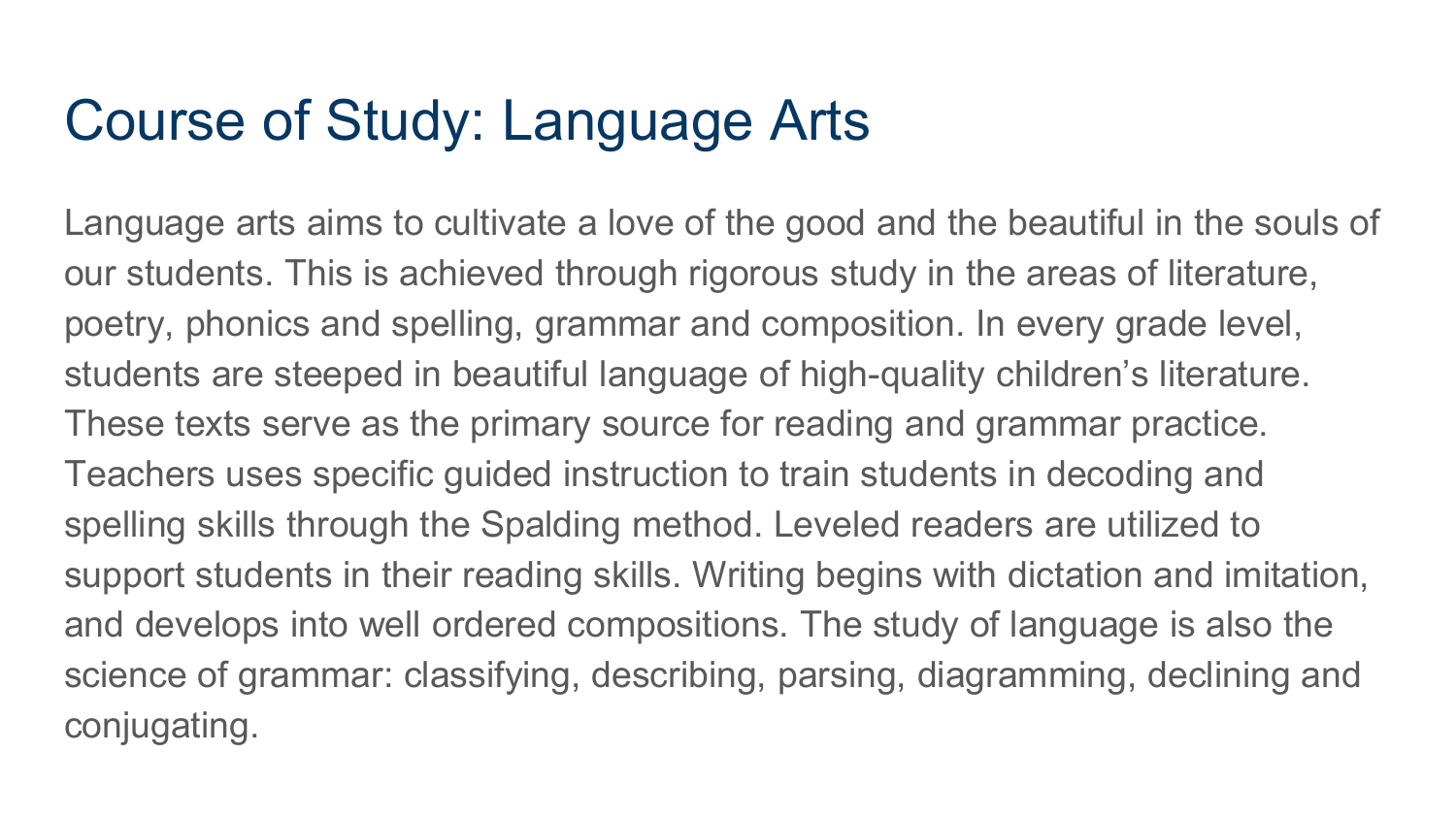### Course of Study: Language Arts

Language arts aims to cultivate a love of the good and the beautiful in the souls of our students. This is achieved through rigorous study in the areas of literature, poetry, phonics and spelling, grammar and composition. In every grade level, students are steeped in beautiful language of high-quality children's literature. These texts serve as the primary source for reading and grammar practice. Teachers uses specific guided instruction to train students in decoding and spelling skills through the Spalding method. Leveled readers are utilized to support students in their reading skills. Writing begins with dictation and imitation, and develops into well ordered compositions. The study of language is also the science of grammar: classifying, describing, parsing, diagramming, declining and conjugating.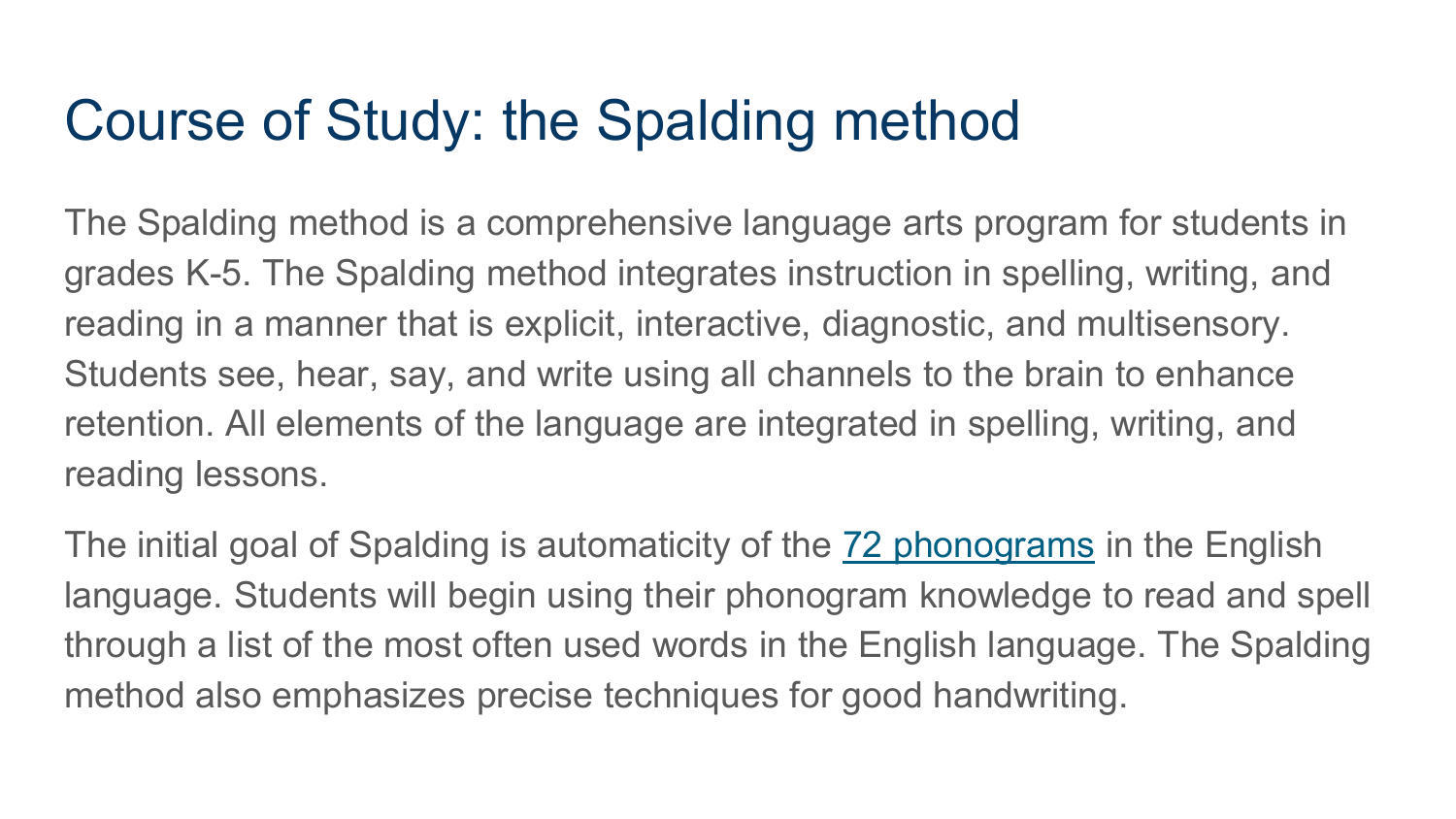#### Course of Study: the Spalding method

The Spalding method is a comprehensive language arts program for students in grades K-5. The Spalding method integrates instruction in spelling, writing, and reading in a manner that is explicit, interactive, diagnostic, and multisensory. Students see, hear, say, and write using all channels to the brain to enhance retention. All elements of the language are integrated in spelling, writing, and reading lessons.

The initial goal of Spalding is automaticity of the [72 phonograms](https://www.youtube.com/playlist?list=PL8UyUmxS7VL3QrKygZyMVmfELfwxl0adJ) in the English language. Students will begin using their phonogram knowledge to read and spell through a list of the most often used words in the English language. The Spalding method also emphasizes precise techniques for good handwriting.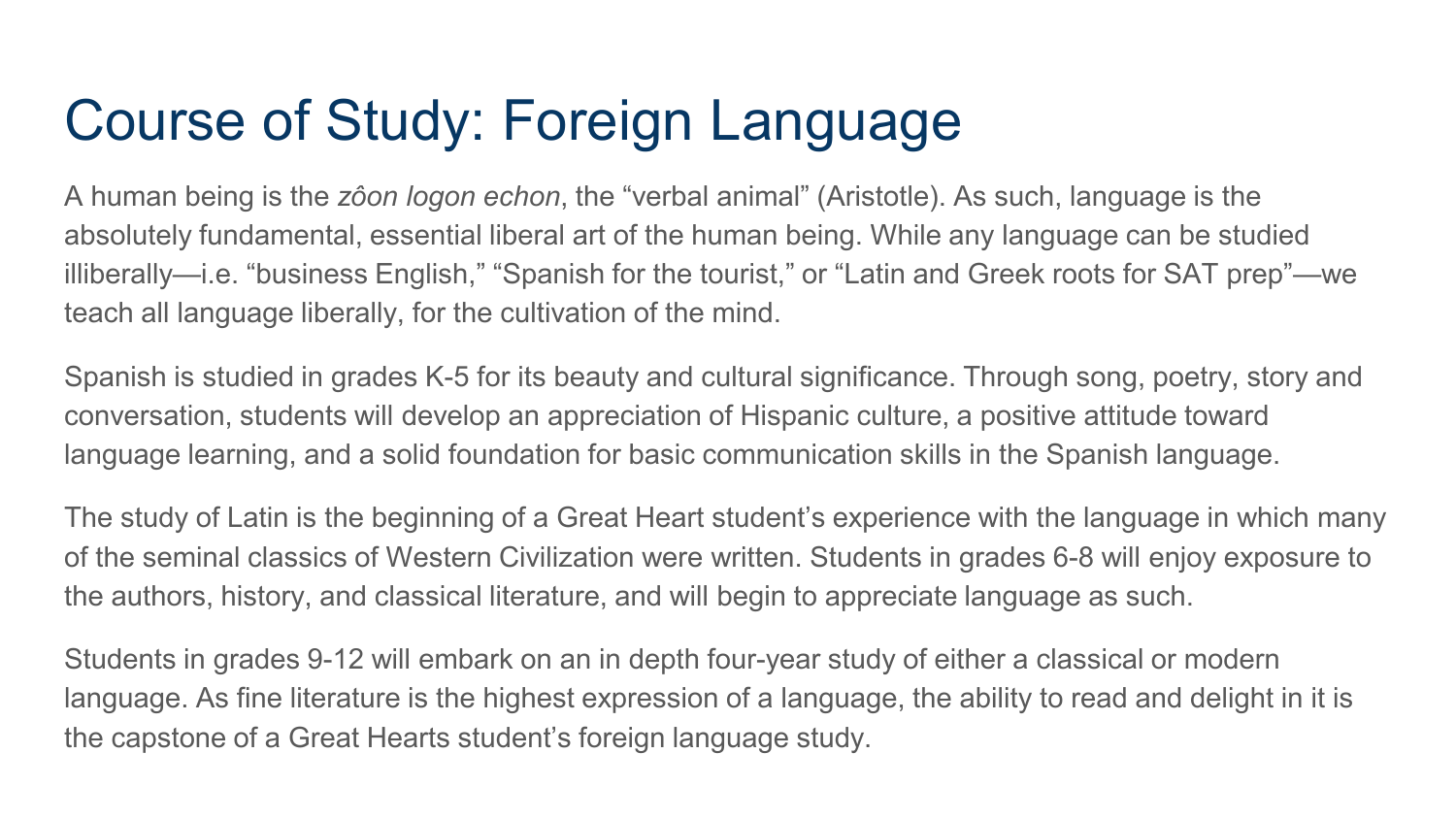# Course of Study: Foreign Language

A human being is the *zôon logon echon*, the "verbal animal" (Aristotle). As such, language is the absolutely fundamental, essential liberal art of the human being. While any language can be studied illiberally—i.e. "business English," "Spanish for the tourist," or "Latin and Greek roots for SAT prep"—we teach all language liberally, for the cultivation of the mind.

Spanish is studied in grades K-5 for its beauty and cultural significance. Through song, poetry, story and conversation, students will develop an appreciation of Hispanic culture, a positive attitude toward language learning, and a solid foundation for basic communication skills in the Spanish language.

The study of Latin is the beginning of a Great Heart student's experience with the language in which many of the seminal classics of Western Civilization were written. Students in grades 6-8 will enjoy exposure to the authors, history, and classical literature, and will begin to appreciate language as such.

Students in grades 9-12 will embark on an in depth four-year study of either a classical or modern language. As fine literature is the highest expression of a language, the ability to read and delight in it is the capstone of a Great Hearts student's foreign language study.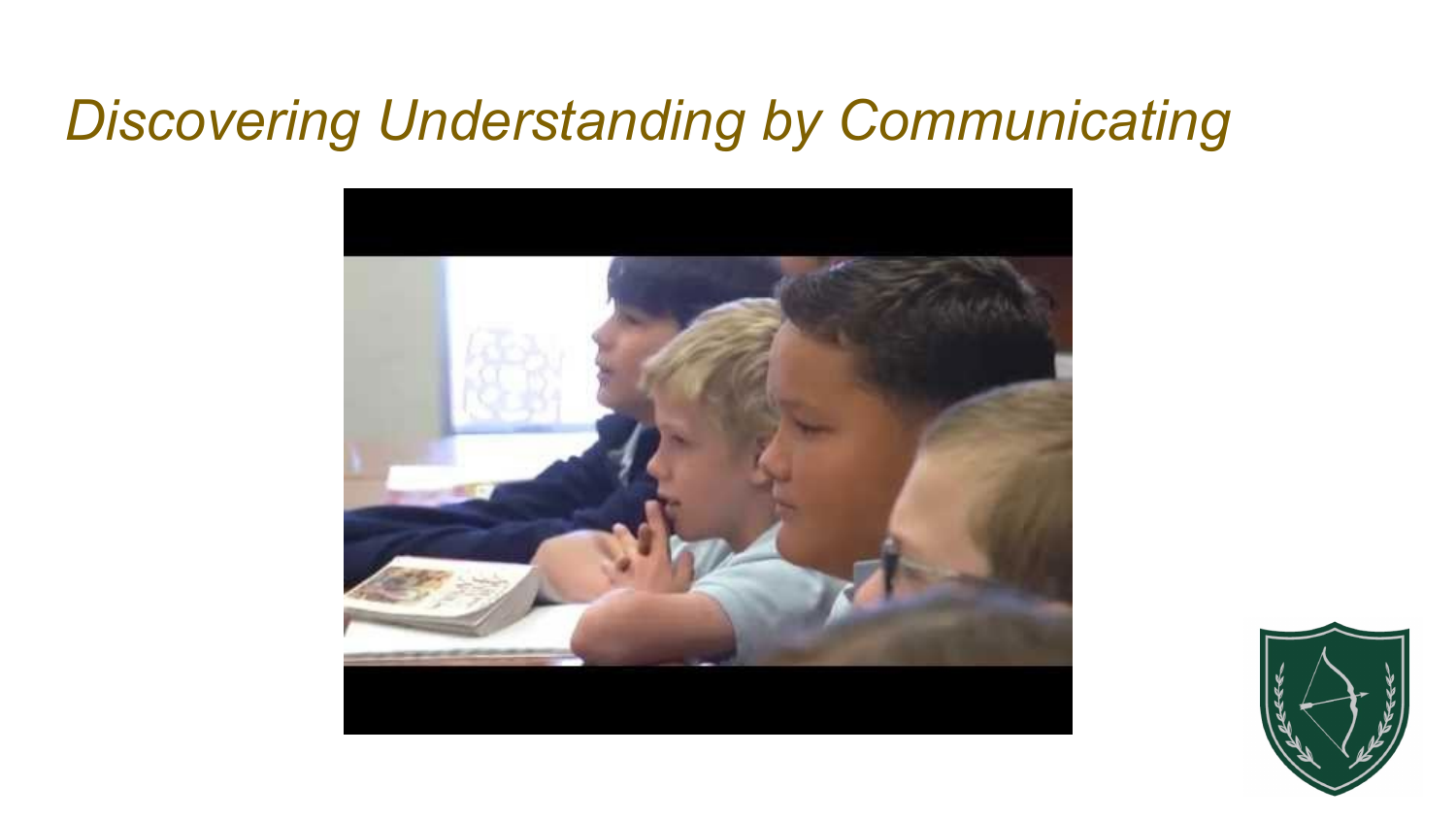#### *Discovering Understanding by Communicating*



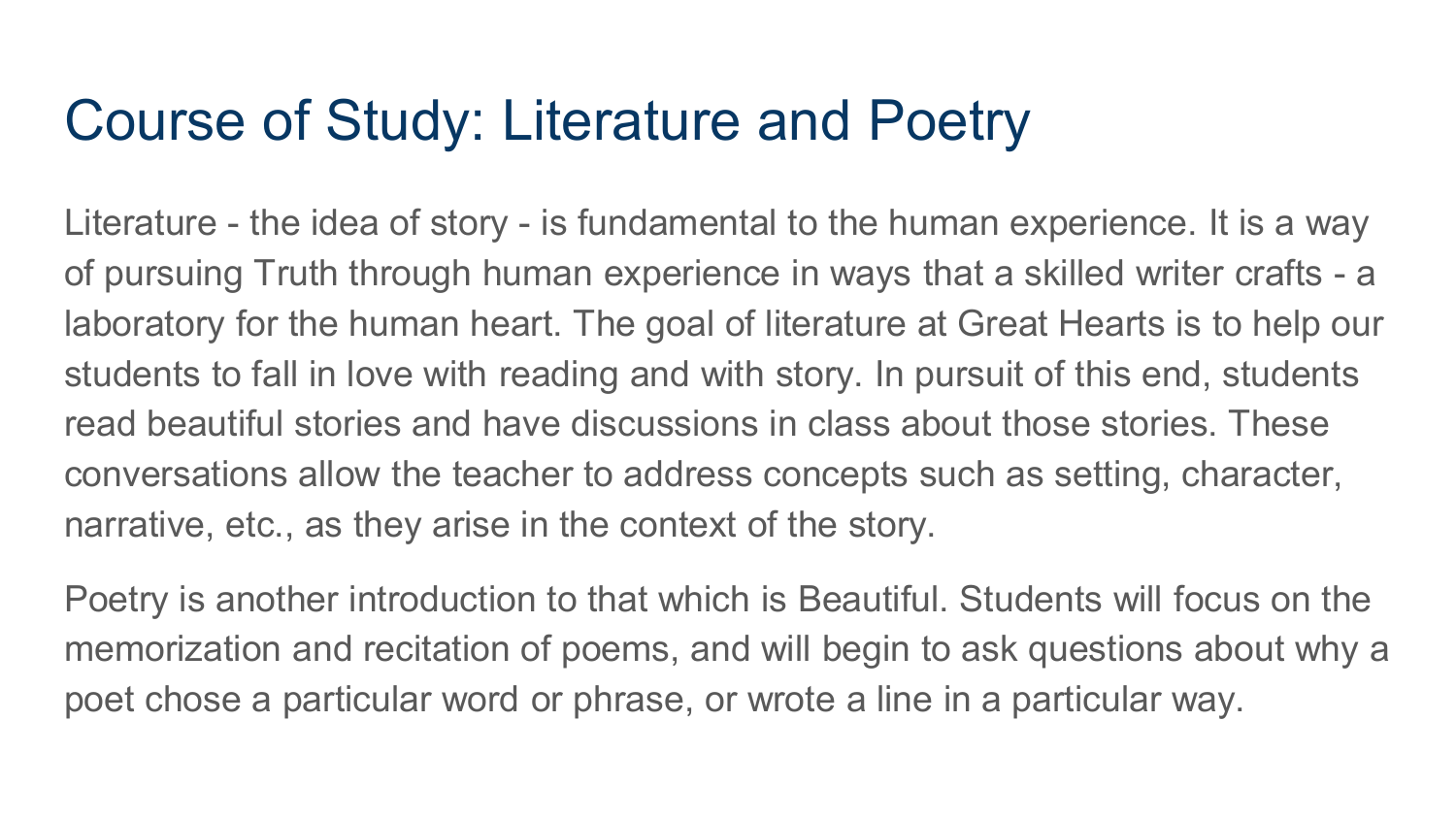#### Course of Study: Literature and Poetry

Literature - the idea of story - is fundamental to the human experience. It is a way of pursuing Truth through human experience in ways that a skilled writer crafts - a laboratory for the human heart. The goal of literature at Great Hearts is to help our students to fall in love with reading and with story. In pursuit of this end, students read beautiful stories and have discussions in class about those stories. These conversations allow the teacher to address concepts such as setting, character, narrative, etc., as they arise in the context of the story.

Poetry is another introduction to that which is Beautiful. Students will focus on the memorization and recitation of poems, and will begin to ask questions about why a poet chose a particular word or phrase, or wrote a line in a particular way.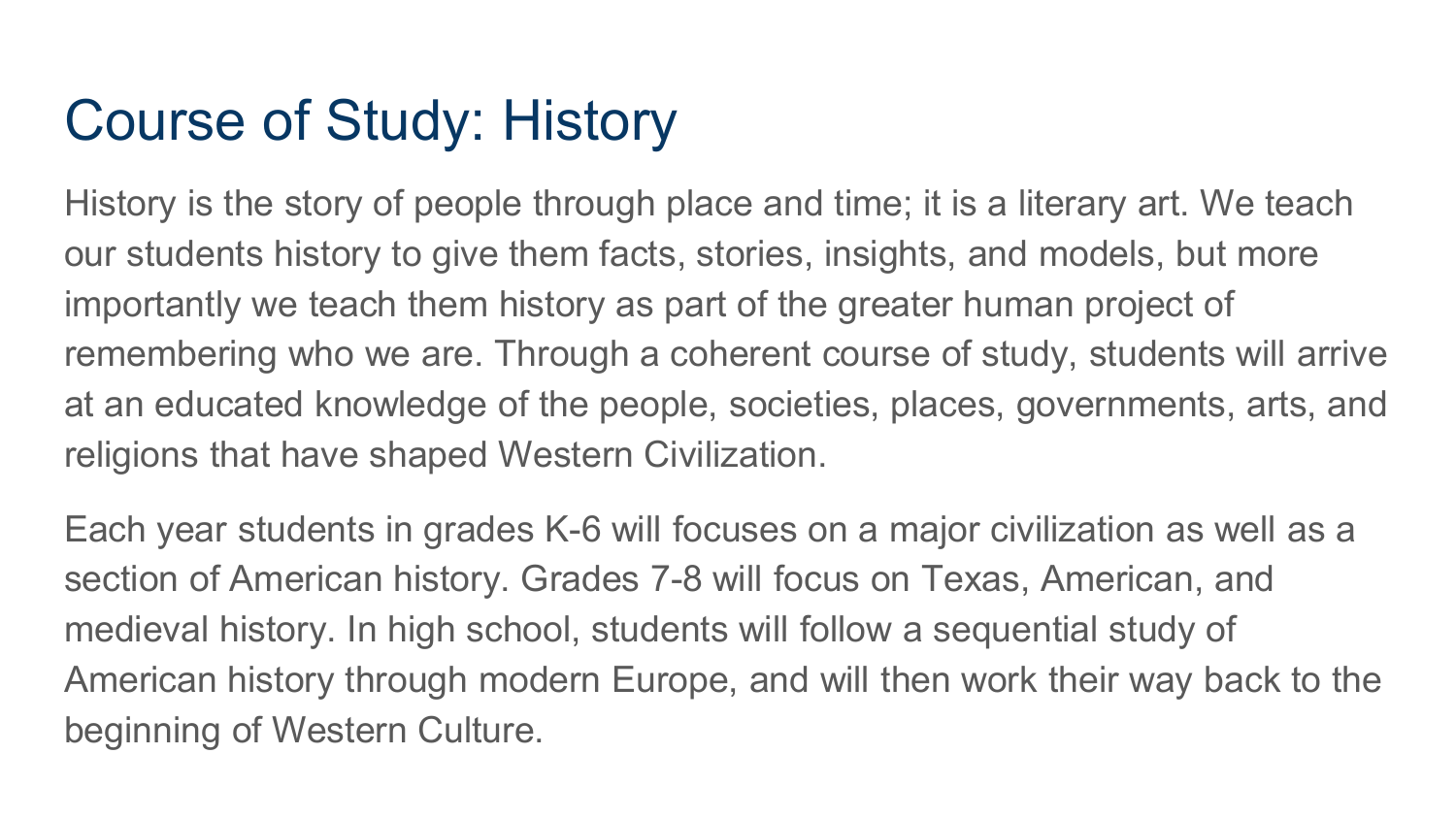# Course of Study: History

History is the story of people through place and time; it is a literary art. We teach our students history to give them facts, stories, insights, and models, but more importantly we teach them history as part of the greater human project of remembering who we are. Through a coherent course of study, students will arrive at an educated knowledge of the people, societies, places, governments, arts, and religions that have shaped Western Civilization.

Each year students in grades K-6 will focuses on a major civilization as well as a section of American history. Grades 7-8 will focus on Texas, American, and medieval history. In high school, students will follow a sequential study of American history through modern Europe, and will then work their way back to the beginning of Western Culture.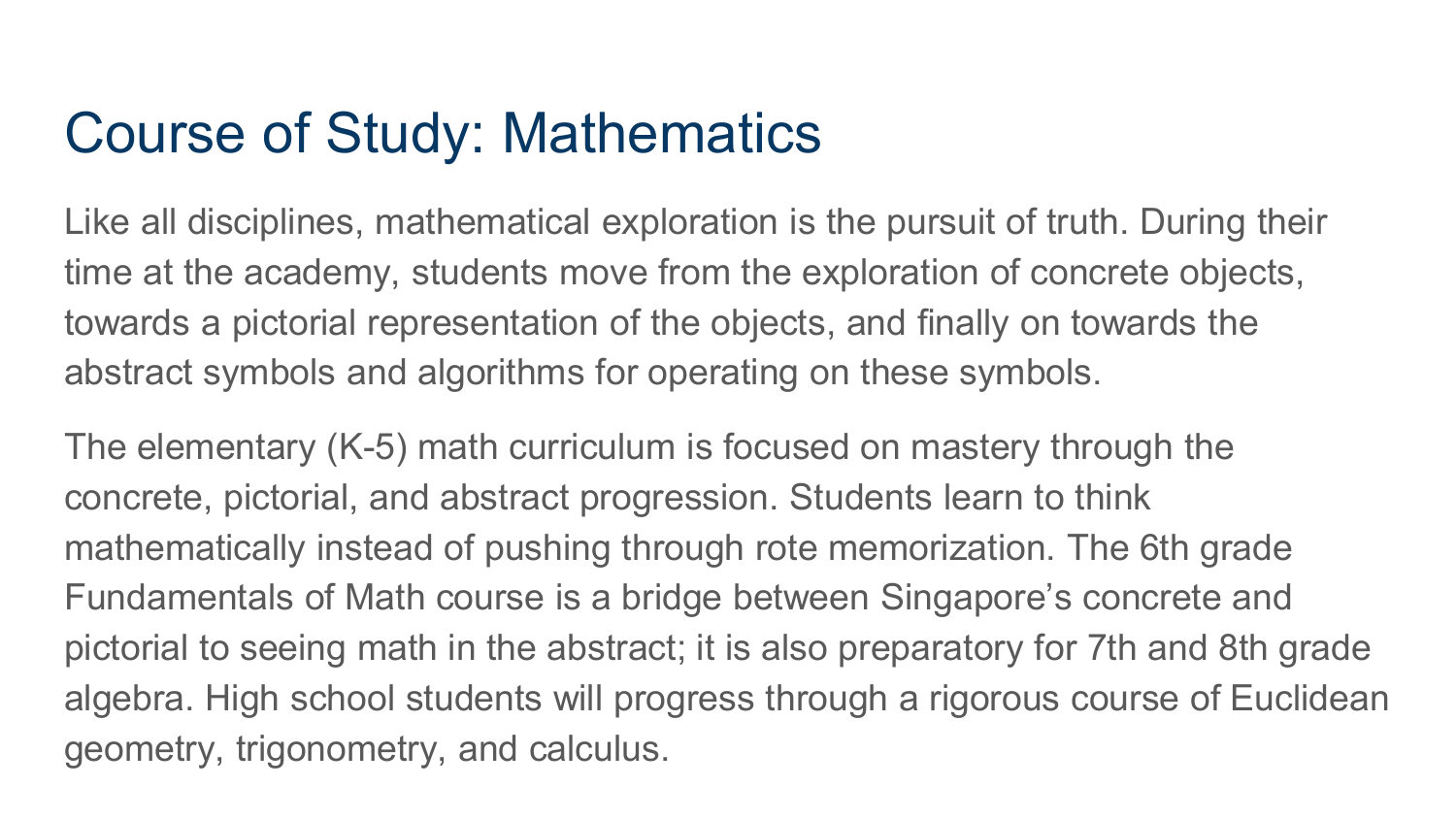#### Course of Study: Mathematics

Like all disciplines, mathematical exploration is the pursuit of truth. During their time at the academy, students move from the exploration of concrete objects, towards a pictorial representation of the objects, and finally on towards the abstract symbols and algorithms for operating on these symbols.

The elementary (K-5) math curriculum is focused on mastery through the concrete, pictorial, and abstract progression. Students learn to think mathematically instead of pushing through rote memorization. The 6th grade Fundamentals of Math course is a bridge between Singapore's concrete and pictorial to seeing math in the abstract; it is also preparatory for 7th and 8th grade algebra. High school students will progress through a rigorous course of Euclidean geometry, trigonometry, and calculus.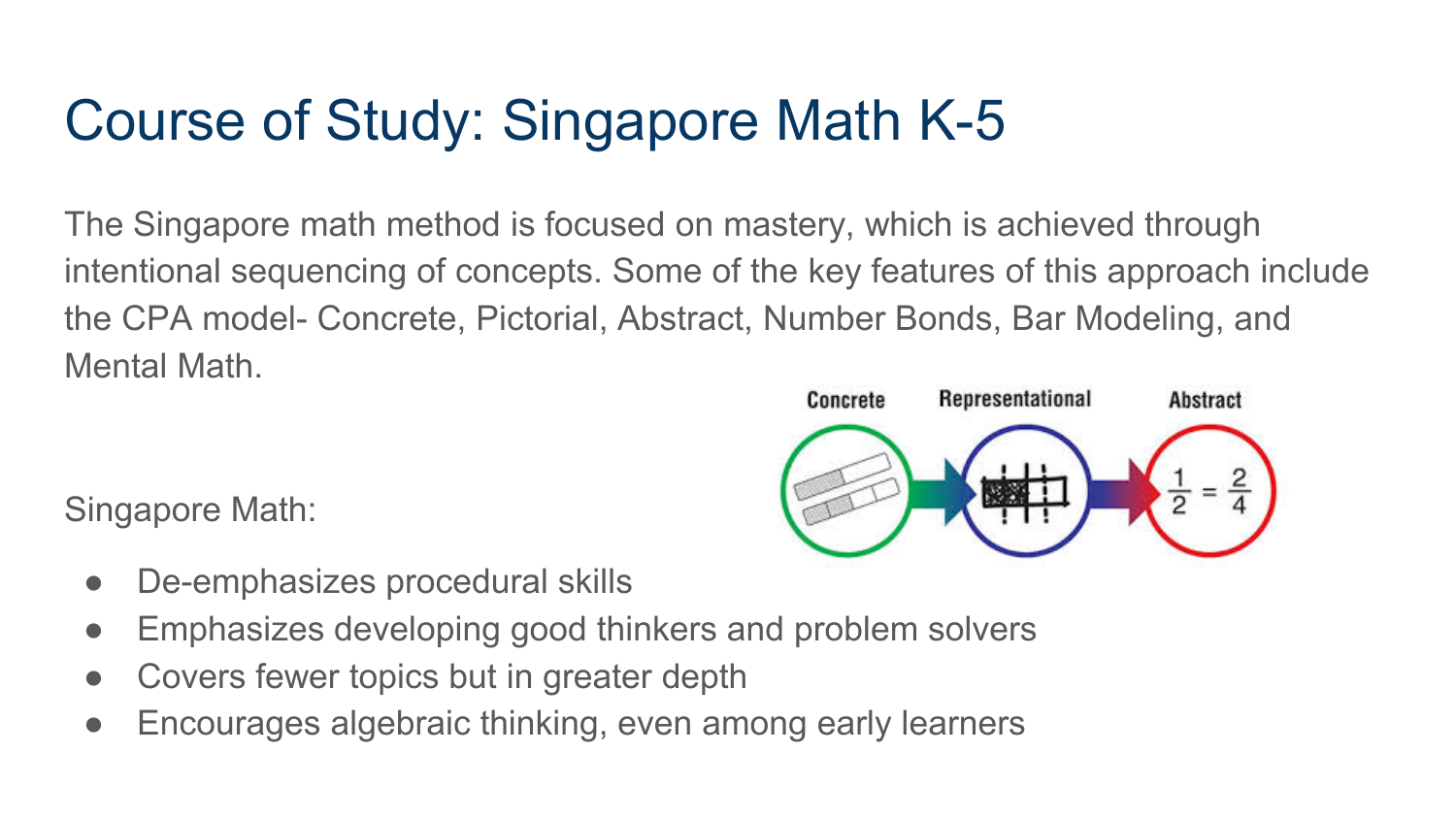# Course of Study: Singapore Math K-5

The Singapore math method is focused on mastery, which is achieved through intentional sequencing of concepts. Some of the key features of this approach include the CPA model- Concrete, Pictorial, Abstract, Number Bonds, Bar Modeling, and Mental Math.

Singapore Math:

Concrete Representational **Abstract** 

- De-emphasizes procedural skills
- Emphasizes developing good thinkers and problem solvers
- Covers fewer topics but in greater depth
- Encourages algebraic thinking, even among early learners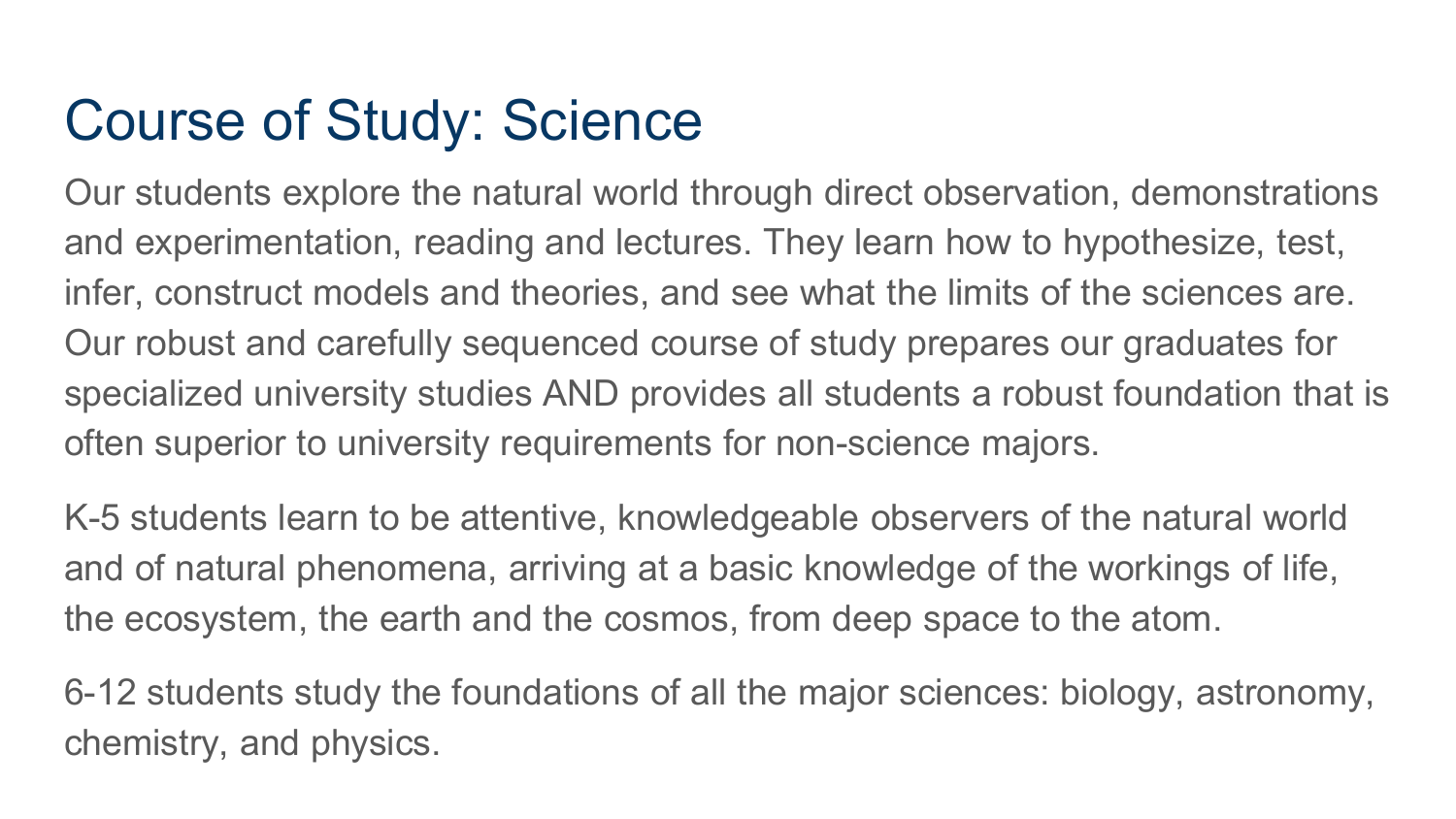### Course of Study: Science

Our students explore the natural world through direct observation, demonstrations and experimentation, reading and lectures. They learn how to hypothesize, test, infer, construct models and theories, and see what the limits of the sciences are. Our robust and carefully sequenced course of study prepares our graduates for specialized university studies AND provides all students a robust foundation that is often superior to university requirements for non-science majors.

K-5 students learn to be attentive, knowledgeable observers of the natural world and of natural phenomena, arriving at a basic knowledge of the workings of life, the ecosystem, the earth and the cosmos, from deep space to the atom.

6-12 students study the foundations of all the major sciences: biology, astronomy, chemistry, and physics.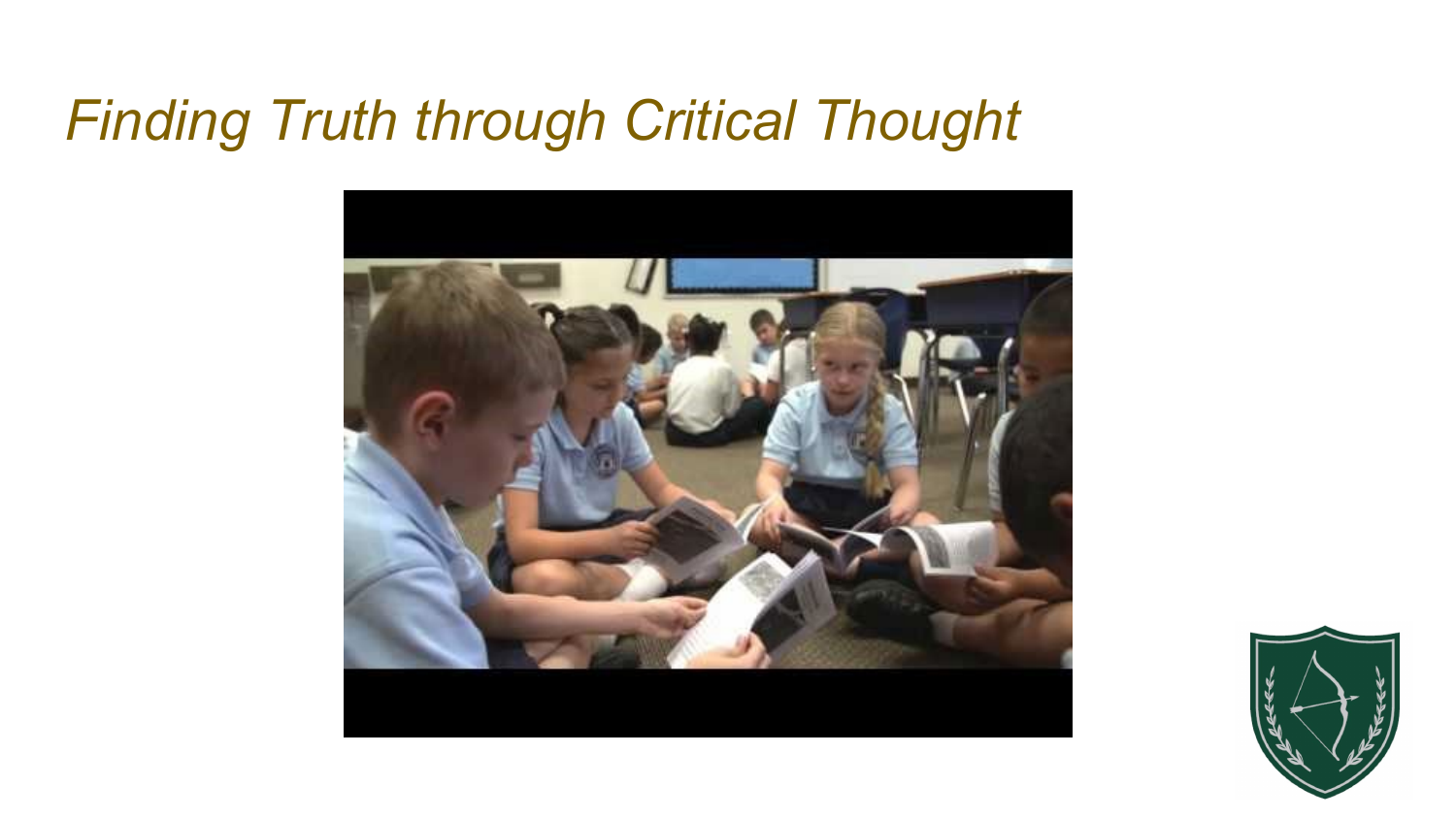### *Finding Truth through Critical Thought*



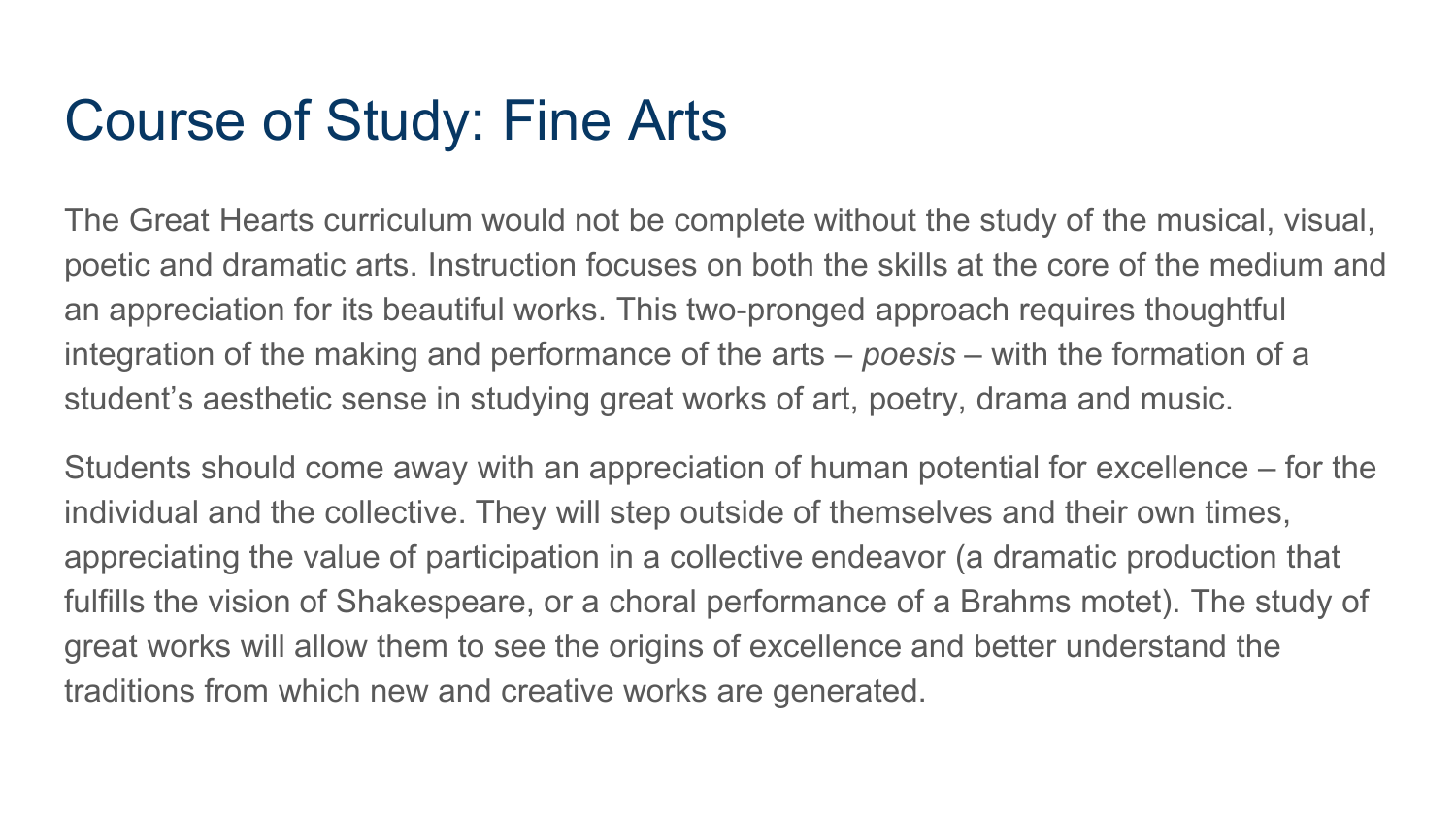#### Course of Study: Fine Arts

The Great Hearts curriculum would not be complete without the study of the musical, visual, poetic and dramatic arts. Instruction focuses on both the skills at the core of the medium and an appreciation for its beautiful works. This two-pronged approach requires thoughtful integration of the making and performance of the arts – *poesis* – with the formation of a student's aesthetic sense in studying great works of art, poetry, drama and music.

Students should come away with an appreciation of human potential for excellence – for the individual and the collective. They will step outside of themselves and their own times, appreciating the value of participation in a collective endeavor (a dramatic production that fulfills the vision of Shakespeare, or a choral performance of a Brahms motet). The study of great works will allow them to see the origins of excellence and better understand the traditions from which new and creative works are generated.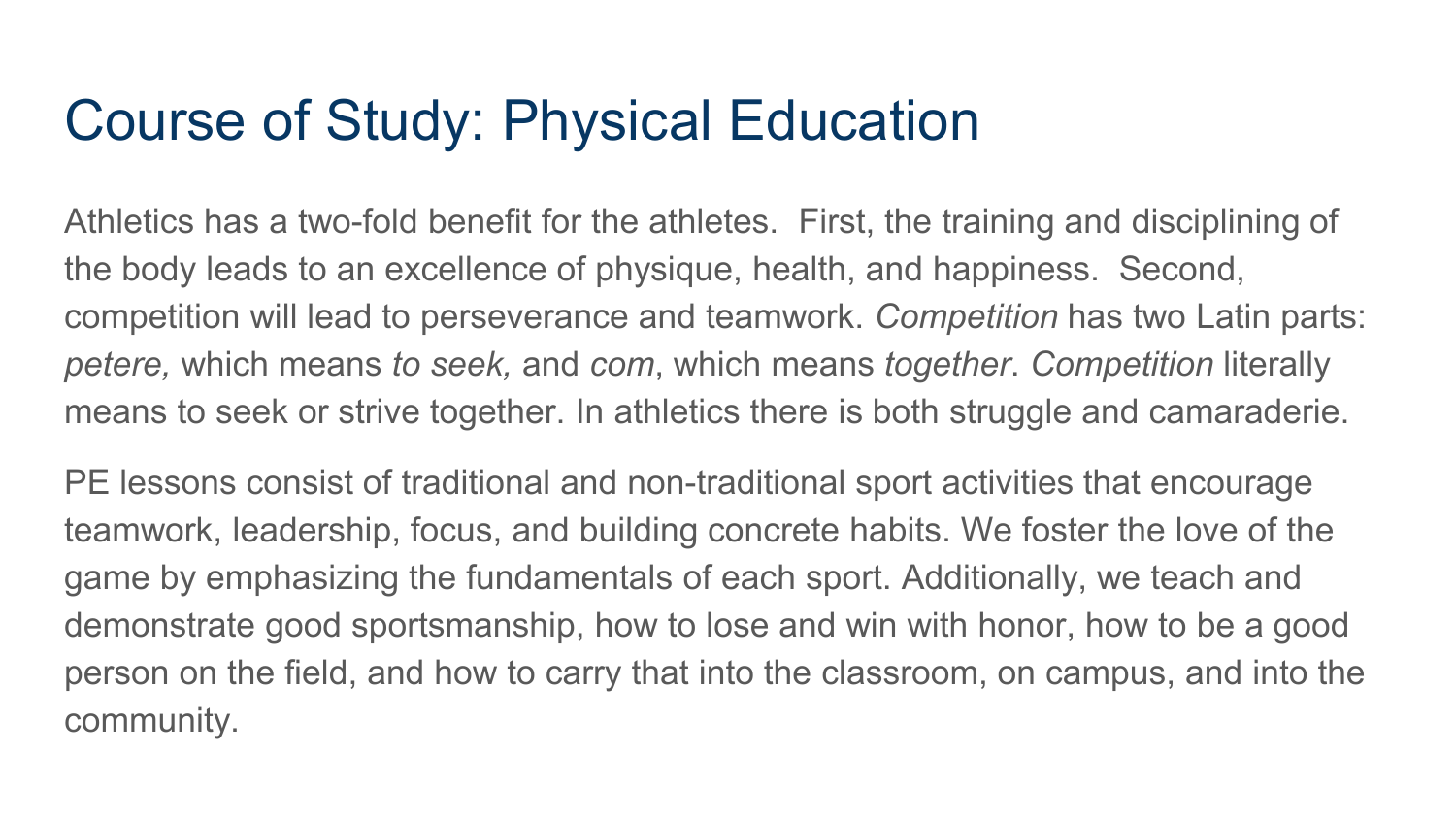#### Course of Study: Physical Education

Athletics has a two-fold benefit for the athletes. First, the training and disciplining of the body leads to an excellence of physique, health, and happiness. Second, competition will lead to perseverance and teamwork. *Competition* has two Latin parts: *petere,* which means *to seek,* and *com*, which means *together*. *Competition* literally means to seek or strive together. In athletics there is both struggle and camaraderie.

PE lessons consist of traditional and non-traditional sport activities that encourage teamwork, leadership, focus, and building concrete habits. We foster the love of the game by emphasizing the fundamentals of each sport. Additionally, we teach and demonstrate good sportsmanship, how to lose and win with honor, how to be a good person on the field, and how to carry that into the classroom, on campus, and into the community.